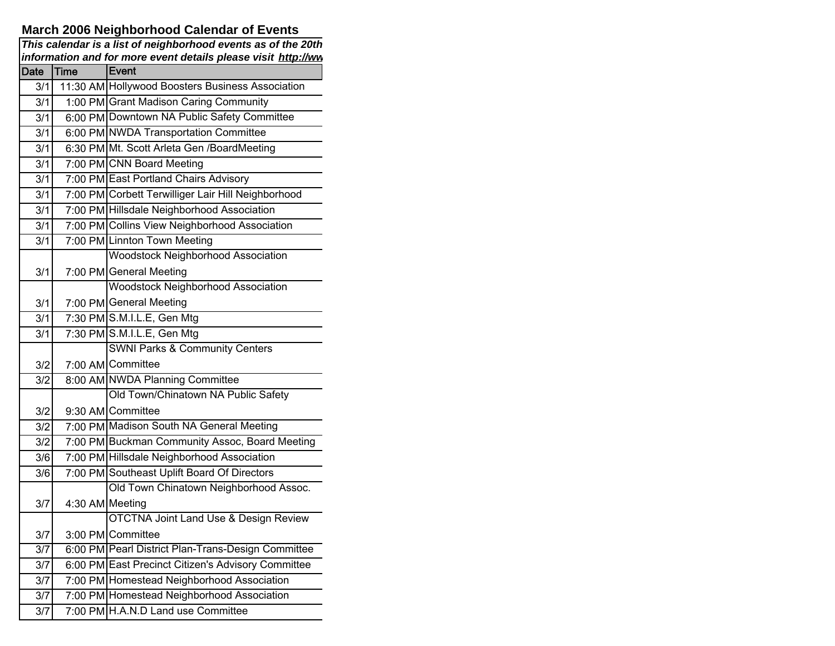## **March 2006 Neighborhood Calendar of Events**

|             | This calendar is a list of neighborhood events as of the 20th<br>information and for more event details please visit http://ww |                                                    |  |  |
|-------------|--------------------------------------------------------------------------------------------------------------------------------|----------------------------------------------------|--|--|
| <b>Date</b> | <b>Time</b>                                                                                                                    | Event                                              |  |  |
| 3/1         |                                                                                                                                | 11:30 AM Hollywood Boosters Business Association   |  |  |
| 3/1         |                                                                                                                                | 1:00 PM Grant Madison Caring Community             |  |  |
| 3/1         |                                                                                                                                | 6:00 PM Downtown NA Public Safety Committee        |  |  |
| 3/1         |                                                                                                                                | 6:00 PM NWDA Transportation Committee              |  |  |
| 3/1         |                                                                                                                                | 6:30 PM Mt. Scott Arleta Gen /BoardMeeting         |  |  |
| 3/1         |                                                                                                                                | 7:00 PM CNN Board Meeting                          |  |  |
| 3/1         |                                                                                                                                | 7:00 PM East Portland Chairs Advisory              |  |  |
| 3/1         |                                                                                                                                | 7:00 PM Corbett Terwilliger Lair Hill Neighborhood |  |  |
| 3/1         |                                                                                                                                | 7:00 PM Hillsdale Neighborhood Association         |  |  |
| 3/1         |                                                                                                                                | 7:00 PM Collins View Neighborhood Association      |  |  |
| 3/1         |                                                                                                                                | 7:00 PM Linnton Town Meeting                       |  |  |
|             |                                                                                                                                | <b>Woodstock Neighborhood Association</b>          |  |  |
| 3/1         |                                                                                                                                | 7:00 PM General Meeting                            |  |  |
|             |                                                                                                                                | <b>Woodstock Neighborhood Association</b>          |  |  |
| 3/1         |                                                                                                                                | 7:00 PM General Meeting                            |  |  |
| 3/1         |                                                                                                                                | 7:30 PM S.M.I.L.E, Gen Mtg                         |  |  |
| 3/1         |                                                                                                                                | 7:30 PM S.M.I.L.E, Gen Mtg                         |  |  |
|             |                                                                                                                                | <b>SWNI Parks &amp; Community Centers</b>          |  |  |
| 3/2         |                                                                                                                                | 7:00 AM Committee                                  |  |  |
| 3/2         |                                                                                                                                | 8:00 AM NWDA Planning Committee                    |  |  |
|             |                                                                                                                                | Old Town/Chinatown NA Public Safety                |  |  |
| 3/2         |                                                                                                                                | 9:30 AM Committee                                  |  |  |
| 3/2         |                                                                                                                                | 7:00 PM Madison South NA General Meeting           |  |  |
| 3/2         |                                                                                                                                | 7:00 PM Buckman Community Assoc, Board Meeting     |  |  |
| 3/6         |                                                                                                                                | 7:00 PM Hillsdale Neighborhood Association         |  |  |
| 3/6         |                                                                                                                                | 7:00 PM Southeast Uplift Board Of Directors        |  |  |
|             |                                                                                                                                | Old Town Chinatown Neighborhood Assoc.             |  |  |
| 3/7         | 4:30 AM Meeting                                                                                                                |                                                    |  |  |
|             |                                                                                                                                | <b>OTCTNA Joint Land Use &amp; Design Review</b>   |  |  |
| 3/7         |                                                                                                                                | 3:00 PM Committee                                  |  |  |
| 3/7         |                                                                                                                                | 6:00 PM Pearl District Plan-Trans-Design Committee |  |  |
| 3/7         |                                                                                                                                | 6:00 PM East Precinct Citizen's Advisory Committee |  |  |
| 3/7         |                                                                                                                                | 7:00 PM Homestead Neighborhood Association         |  |  |
| 3/7         |                                                                                                                                | 7:00 PM Homestead Neighborhood Association         |  |  |
| 3/7         |                                                                                                                                | 7:00 PM H.A.N.D Land use Committee                 |  |  |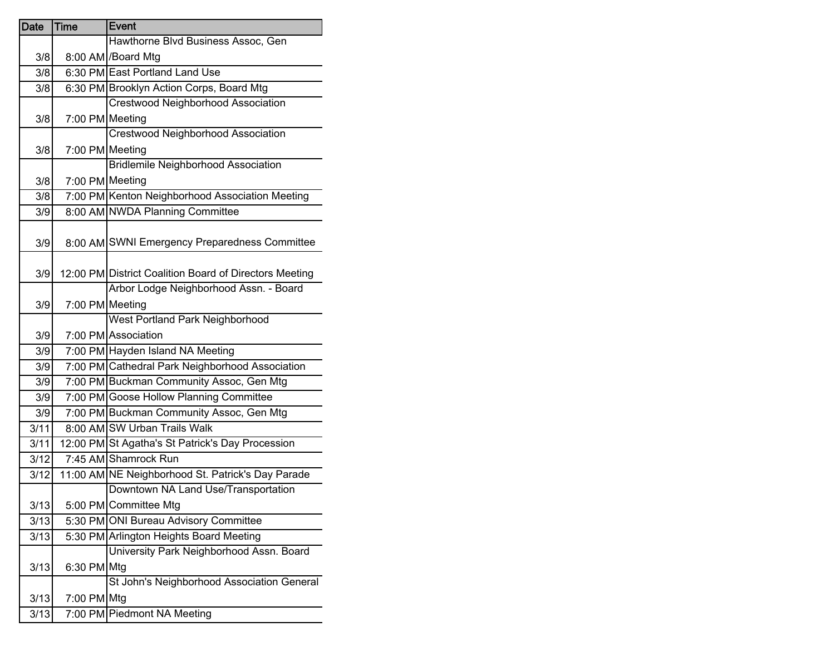| <b>Date</b> | Time        | <b>Event</b>                                           |
|-------------|-------------|--------------------------------------------------------|
|             |             | Hawthorne Blvd Business Assoc, Gen                     |
| 3/8         |             | 8:00 AM /Board Mtg                                     |
| 3/8         |             | 6:30 PM East Portland Land Use                         |
| 3/8         |             | 6:30 PM Brooklyn Action Corps, Board Mtg               |
|             |             | <b>Crestwood Neighborhood Association</b>              |
| 3/8         |             | 7:00 PM Meeting                                        |
|             |             | <b>Crestwood Neighborhood Association</b>              |
| 3/8         |             | 7:00 PM Meeting                                        |
|             |             | <b>Bridlemile Neighborhood Association</b>             |
| 3/8         |             | 7:00 PM Meeting                                        |
| 3/8         |             | 7:00 PM Kenton Neighborhood Association Meeting        |
| 3/9         |             | 8:00 AM NWDA Planning Committee                        |
|             |             |                                                        |
| 3/9         |             | 8:00 AM SWNI Emergency Preparedness Committee          |
|             |             |                                                        |
| 3/9         |             | 12:00 PM District Coalition Board of Directors Meeting |
|             |             | Arbor Lodge Neighborhood Assn. - Board                 |
| 3/9         |             | 7:00 PM Meeting                                        |
|             |             | <b>West Portland Park Neighborhood</b>                 |
| 3/9         |             | 7:00 PM Association                                    |
| 3/9         |             | 7:00 PM Hayden Island NA Meeting                       |
| 3/9         |             | 7:00 PM Cathedral Park Neighborhood Association        |
| 3/9         |             | 7:00 PM Buckman Community Assoc, Gen Mtg               |
| 3/9         |             | 7:00 PM Goose Hollow Planning Committee                |
| 3/9         |             | 7:00 PM Buckman Community Assoc, Gen Mtg               |
| 3/11        |             | 8:00 AM SW Urban Trails Walk                           |
| 3/11        |             | 12:00 PM St Agatha's St Patrick's Day Procession       |
| 3/12        |             | 7:45 AM Shamrock Run                                   |
| 3/12        |             | 11:00 AM NE Neighborhood St. Patrick's Day Parade      |
|             |             | Downtown NA Land Use/Transportation                    |
| 3/13        |             | 5:00 PM Committee Mtg                                  |
| 3/13        |             | 5:30 PM ONI Bureau Advisory Committee                  |
| 3/13        |             | 5:30 PM Arlington Heights Board Meeting                |
|             |             | University Park Neighborhood Assn. Board               |
| 3/13        | 6:30 PM Mtg |                                                        |
|             |             | St John's Neighborhood Association General             |
| 3/13        | 7:00 PM Mtg |                                                        |
| 3/13        |             | 7:00 PM Piedmont NA Meeting                            |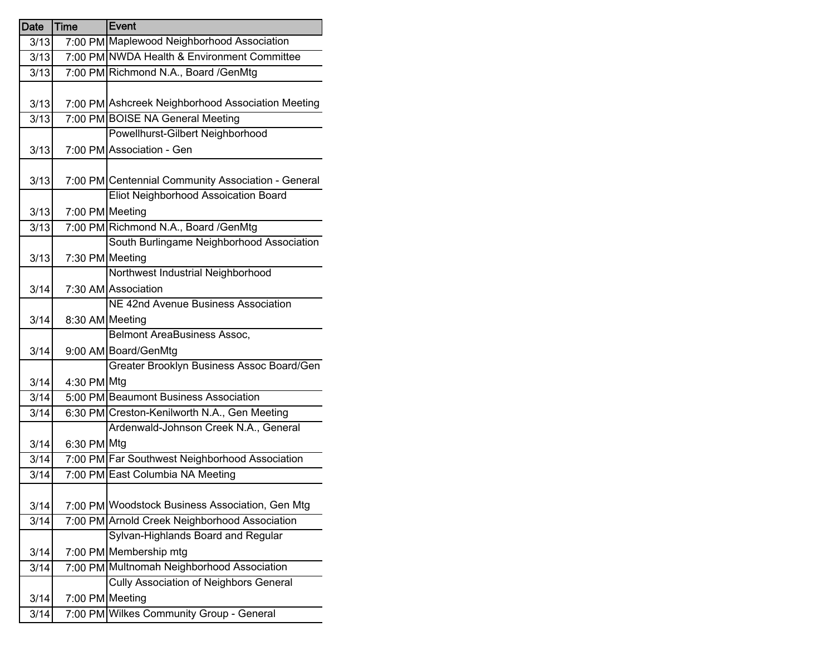| <b>Date</b> | Time        | Event                                              |
|-------------|-------------|----------------------------------------------------|
| 3/13        |             | 7:00 PM Maplewood Neighborhood Association         |
| 3/13        |             | 7:00 PM NWDA Health & Environment Committee        |
| 3/13        |             | 7:00 PM Richmond N.A., Board / GenMtg              |
|             |             |                                                    |
| 3/13        |             | 7:00 PM Ashcreek Neighborhood Association Meeting  |
| 3/13        |             | 7:00 PM BOISE NA General Meeting                   |
|             |             | Powellhurst-Gilbert Neighborhood                   |
| 3/13        |             | 7:00 PM Association - Gen                          |
|             |             |                                                    |
| 3/13        |             | 7:00 PM Centennial Community Association - General |
|             |             | Eliot Neighborhood Assoication Board               |
| 3/13        |             | 7:00 PM Meeting                                    |
| 3/13        |             | 7:00 PM Richmond N.A., Board / GenMtg              |
|             |             | South Burlingame Neighborhood Association          |
| 3/13        |             | 7:30 PM Meeting                                    |
|             |             | Northwest Industrial Neighborhood                  |
| 3/14        |             | 7:30 AM Association                                |
|             |             | NE 42nd Avenue Business Association                |
| 3/14        |             | 8:30 AM Meeting                                    |
|             |             | <b>Belmont AreaBusiness Assoc,</b>                 |
| 3/14        |             | 9:00 AM Board/GenMtg                               |
|             |             | Greater Brooklyn Business Assoc Board/Gen          |
| 3/14        | 4:30 PM Mtg |                                                    |
| 3/14        |             | 5:00 PM Beaumont Business Association              |
| 3/14        |             | 6:30 PM Creston-Kenilworth N.A., Gen Meeting       |
|             |             | Ardenwald-Johnson Creek N.A., General              |
| 3/14        | 6:30 PM Mtg |                                                    |
| 3/14        |             | 7:00 PM Far Southwest Neighborhood Association     |
| 3/14        |             | 7:00 PM East Columbia NA Meeting                   |
|             |             |                                                    |
| 3/14        |             | 7:00 PM Woodstock Business Association, Gen Mtg    |
| 3/14        |             | 7:00 PM Arnold Creek Neighborhood Association      |
|             |             | Sylvan-Highlands Board and Regular                 |
| 3/14        |             | 7:00 PM Membership mtg                             |
| 3/14        |             | 7:00 PM Multnomah Neighborhood Association         |
|             |             | <b>Cully Association of Neighbors General</b>      |
| 3/14        |             | 7:00 PM Meeting                                    |
| 3/14        |             | 7:00 PM Wilkes Community Group - General           |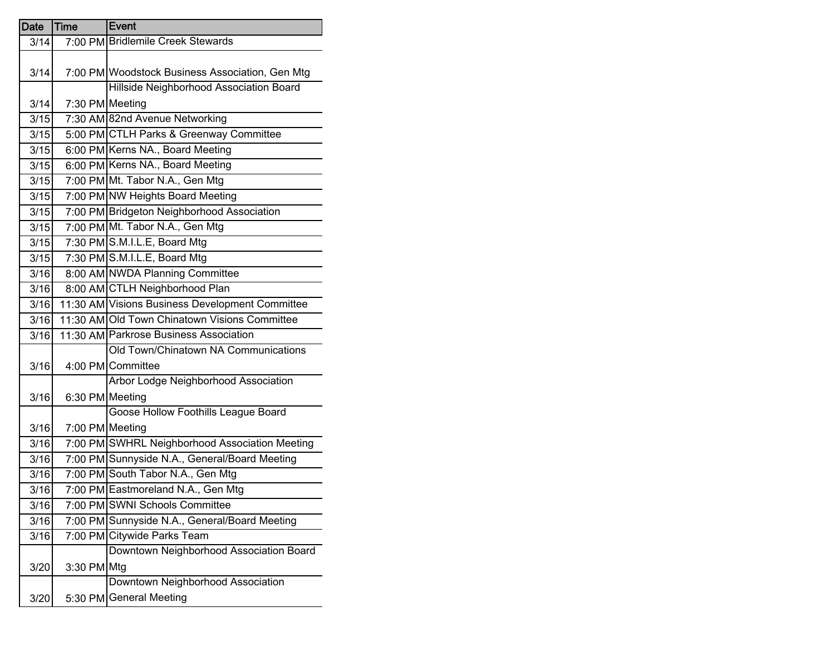| Date | <b>Time</b>     | Event                                           |
|------|-----------------|-------------------------------------------------|
| 3/14 |                 | 7:00 PM Bridlemile Creek Stewards               |
|      |                 |                                                 |
| 3/14 |                 | 7:00 PM Woodstock Business Association, Gen Mtg |
|      |                 | Hillside Neighborhood Association Board         |
| 3/14 | 7:30 PM Meeting |                                                 |
| 3/15 |                 | 7:30 AM 82nd Avenue Networking                  |
| 3/15 |                 | 5:00 PM CTLH Parks & Greenway Committee         |
| 3/15 |                 | 6:00 PM Kerns NA., Board Meeting                |
| 3/15 |                 | 6:00 PM Kerns NA., Board Meeting                |
| 3/15 |                 | 7:00 PM Mt. Tabor N.A., Gen Mtg                 |
| 3/15 |                 | 7:00 PM NW Heights Board Meeting                |
| 3/15 |                 | 7:00 PM Bridgeton Neighborhood Association      |
| 3/15 |                 | 7:00 PM Mt. Tabor N.A., Gen Mtg                 |
| 3/15 |                 | 7:30 PM S.M.I.L.E, Board Mtg                    |
| 3/15 |                 | 7:30 PM S.M.I.L.E, Board Mtg                    |
| 3/16 |                 | 8:00 AM NWDA Planning Committee                 |
| 3/16 |                 | 8:00 AM CTLH Neighborhood Plan                  |
| 3/16 |                 | 11:30 AM Visions Business Development Committee |
| 3/16 |                 | 11:30 AM Old Town Chinatown Visions Committee   |
| 3/16 |                 | 11:30 AM Parkrose Business Association          |
|      |                 | Old Town/Chinatown NA Communications            |
| 3/16 |                 | 4:00 PM Committee                               |
|      |                 | Arbor Lodge Neighborhood Association            |
| 3/16 | 6:30 PM Meeting |                                                 |
|      |                 | Goose Hollow Foothills League Board             |
| 3/16 | 7:00 PM Meeting |                                                 |
| 3/16 |                 | 7:00 PM SWHRL Neighborhood Association Meeting  |
| 3/16 |                 | 7:00 PM Sunnyside N.A., General/Board Meeting   |
| 3/16 |                 | 7:00 PM South Tabor N.A., Gen Mtg               |
| 3/16 |                 | 7:00 PM Eastmoreland N.A., Gen Mtg              |
| 3/16 |                 | 7:00 PM SWNI Schools Committee                  |
| 3/16 |                 | 7:00 PM Sunnyside N.A., General/Board Meeting   |
| 3/16 |                 | 7:00 PM Citywide Parks Team                     |
|      |                 | Downtown Neighborhood Association Board         |
| 3/20 | 3:30 PM Mtg     |                                                 |
|      |                 | Downtown Neighborhood Association               |
| 3/20 |                 | 5:30 PM General Meeting                         |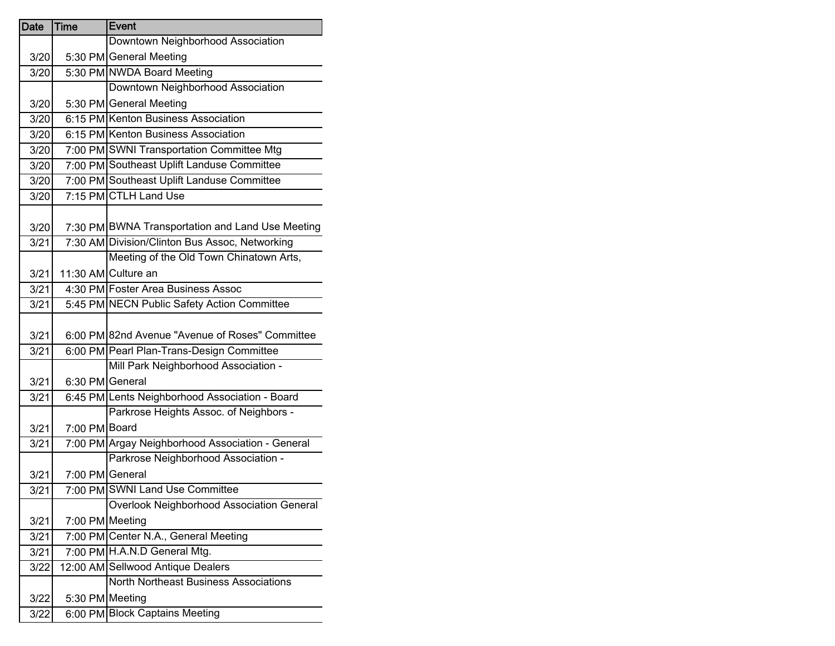| Date | <b>Time</b> | <b>Event</b>                                     |
|------|-------------|--------------------------------------------------|
|      |             | Downtown Neighborhood Association                |
| 3/20 |             | 5:30 PM General Meeting                          |
| 3/20 |             | 5:30 PM NWDA Board Meeting                       |
|      |             | Downtown Neighborhood Association                |
| 3/20 |             | 5:30 PM General Meeting                          |
| 3/20 |             | 6:15 PM Kenton Business Association              |
| 3/20 |             | 6:15 PM Kenton Business Association              |
| 3/20 |             | 7:00 PM SWNI Transportation Committee Mtg        |
| 3/20 |             | 7:00 PM Southeast Uplift Landuse Committee       |
| 3/20 |             | 7:00 PM Southeast Uplift Landuse Committee       |
| 3/20 |             | 7:15 PM CTLH Land Use                            |
|      |             |                                                  |
| 3/20 |             | 7:30 PM BWNA Transportation and Land Use Meeting |
| 3/21 |             | 7:30 AM Division/Clinton Bus Assoc, Networking   |
|      |             | Meeting of the Old Town Chinatown Arts,          |
| 3/21 |             | 11:30 AM Culture an                              |
| 3/21 |             | 4:30 PM Foster Area Business Assoc               |
| 3/21 |             | 5:45 PM NECN Public Safety Action Committee      |
|      |             |                                                  |
| 3/21 |             | 6:00 PM 82nd Avenue "Avenue of Roses" Committee  |
| 3/21 |             | 6:00 PM Pearl Plan-Trans-Design Committee        |
|      |             | Mill Park Neighborhood Association -             |
| 3/21 |             | 6:30 PM General                                  |
| 3/21 |             | 6:45 PM Lents Neighborhood Association - Board   |
|      |             | Parkrose Heights Assoc. of Neighbors -           |
| 3/21 |             | 7:00 PM Board                                    |
| 3/21 |             | 7:00 PM Argay Neighborhood Association - General |
|      |             | Parkrose Neighborhood Association -              |
| 3/21 |             | 7:00 PM General                                  |
| 3/21 |             | 7:00 PM SWNI Land Use Committee                  |
|      |             | Overlook Neighborhood Association General        |
| 3/21 |             | 7:00 PM Meeting                                  |
| 3/21 |             | 7:00 PM Center N.A., General Meeting             |
| 3/21 |             | 7:00 PM H.A.N.D General Mtg.                     |
| 3/22 |             | 12:00 AM Sellwood Antique Dealers                |
|      |             | <b>North Northeast Business Associations</b>     |
| 3/22 |             | 5:30 PM Meeting                                  |
| 3/22 |             | 6:00 PM Block Captains Meeting                   |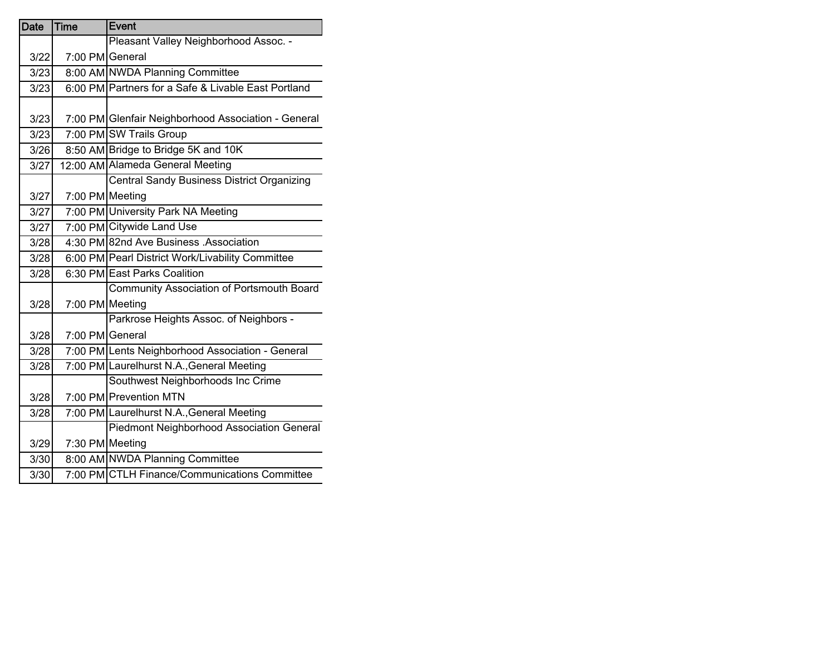| <b>Date</b> | <b>Time</b> | Event                                               |
|-------------|-------------|-----------------------------------------------------|
|             |             | Pleasant Valley Neighborhood Assoc. -               |
| 3/22        |             | 7:00 PM General                                     |
| 3/23        |             | 8:00 AM NWDA Planning Committee                     |
| 3/23        |             | 6:00 PM Partners for a Safe & Livable East Portland |
|             |             |                                                     |
| 3/23        |             | 7:00 PM Glenfair Neighborhood Association - General |
| 3/23        |             | 7:00 PM SW Trails Group                             |
| 3/26        |             | 8:50 AM Bridge to Bridge 5K and 10K                 |
| 3/27        |             | 12:00 AM Alameda General Meeting                    |
|             |             | <b>Central Sandy Business District Organizing</b>   |
| 3/27        |             | 7:00 PM Meeting                                     |
| 3/27        |             | 7:00 PM University Park NA Meeting                  |
| 3/27        |             | 7:00 PM Citywide Land Use                           |
| 3/28        |             | 4:30 PM 82nd Ave Business .Association              |
| 3/28        |             | 6:00 PM Pearl District Work/Livability Committee    |
| 3/28        |             | 6:30 PM East Parks Coalition                        |
|             |             | <b>Community Association of Portsmouth Board</b>    |
| 3/28        |             | 7:00 PM Meeting                                     |
|             |             | Parkrose Heights Assoc. of Neighbors -              |
| 3/28        |             | 7:00 PM General                                     |
| 3/28        |             | 7:00 PM Lents Neighborhood Association - General    |
| 3/28        |             | 7:00 PM Laurelhurst N.A., General Meeting           |
|             |             | Southwest Neighborhoods Inc Crime                   |
| 3/28        |             | 7:00 PM Prevention MTN                              |
| 3/28        |             | 7:00 PM Laurelhurst N.A., General Meeting           |
|             |             | Piedmont Neighborhood Association General           |
| 3/29        |             | 7:30 PM Meeting                                     |
| 3/30        |             | 8:00 AM NWDA Planning Committee                     |
| 3/30        |             | 7:00 PM CTLH Finance/Communications Committee       |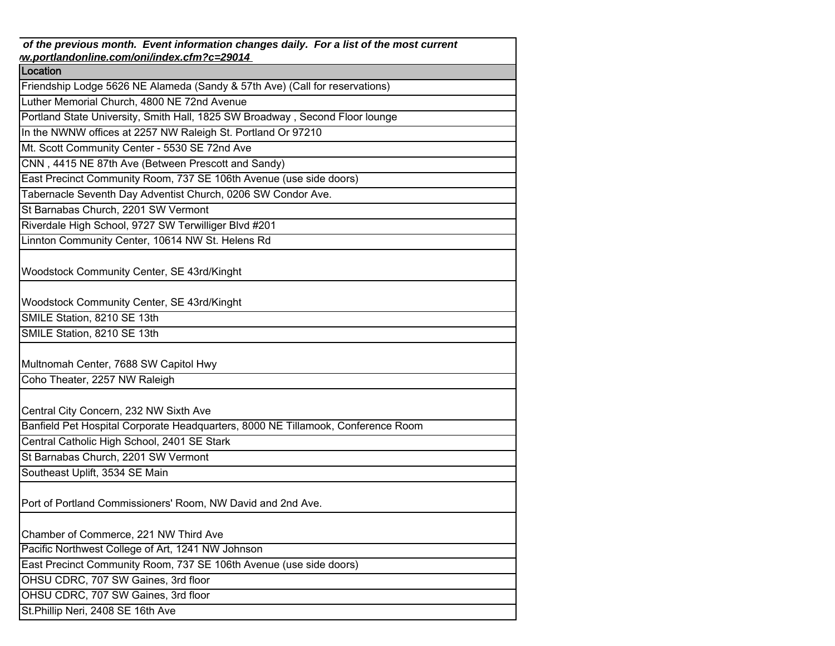| of the previous month. Event information changes daily. For a list of the most current<br>w.portlandonline.com/oni/index.cfm?c=29014 |
|--------------------------------------------------------------------------------------------------------------------------------------|
| Location                                                                                                                             |
| Friendship Lodge 5626 NE Alameda (Sandy & 57th Ave) (Call for reservations)                                                          |
| Luther Memorial Church, 4800 NE 72nd Avenue                                                                                          |
| Portland State University, Smith Hall, 1825 SW Broadway, Second Floor lounge                                                         |
| In the NWNW offices at 2257 NW Raleigh St. Portland Or 97210                                                                         |
| Mt. Scott Community Center - 5530 SE 72nd Ave                                                                                        |
| CNN, 4415 NE 87th Ave (Between Prescott and Sandy)                                                                                   |
| East Precinct Community Room, 737 SE 106th Avenue (use side doors)                                                                   |
| Tabernacle Seventh Day Adventist Church, 0206 SW Condor Ave.                                                                         |
| St Barnabas Church, 2201 SW Vermont                                                                                                  |
| Riverdale High School, 9727 SW Terwilliger Blvd #201                                                                                 |
| Linnton Community Center, 10614 NW St. Helens Rd                                                                                     |
| Woodstock Community Center, SE 43rd/Kinght                                                                                           |
| Woodstock Community Center, SE 43rd/Kinght                                                                                           |
| SMILE Station, 8210 SE 13th                                                                                                          |
| SMILE Station, 8210 SE 13th                                                                                                          |
| Multnomah Center, 7688 SW Capitol Hwy                                                                                                |
| Coho Theater, 2257 NW Raleigh                                                                                                        |
| Central City Concern, 232 NW Sixth Ave                                                                                               |
| Banfield Pet Hospital Corporate Headquarters, 8000 NE Tillamook, Conference Room                                                     |
| Central Catholic High School, 2401 SE Stark                                                                                          |
| St Barnabas Church, 2201 SW Vermont                                                                                                  |
| Southeast Uplift, 3534 SE Main                                                                                                       |
| Port of Portland Commissioners' Room, NW David and 2nd Ave.                                                                          |
| Chamber of Commerce, 221 NW Third Ave                                                                                                |
| Pacific Northwest College of Art, 1241 NW Johnson                                                                                    |
| East Precinct Community Room, 737 SE 106th Avenue (use side doors)                                                                   |
| OHSU CDRC, 707 SW Gaines, 3rd floor                                                                                                  |
| OHSU CDRC, 707 SW Gaines, 3rd floor                                                                                                  |
| St. Phillip Neri, 2408 SE 16th Ave                                                                                                   |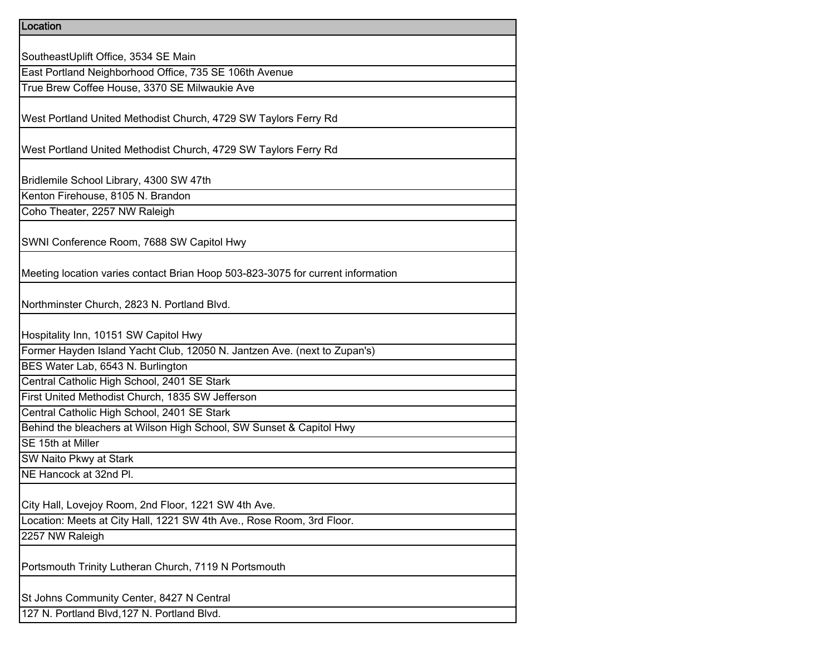| Location                                                                        |
|---------------------------------------------------------------------------------|
|                                                                                 |
| SoutheastUplift Office, 3534 SE Main                                            |
| East Portland Neighborhood Office, 735 SE 106th Avenue                          |
| True Brew Coffee House, 3370 SE Milwaukie Ave                                   |
|                                                                                 |
| West Portland United Methodist Church, 4729 SW Taylors Ferry Rd                 |
|                                                                                 |
| West Portland United Methodist Church, 4729 SW Taylors Ferry Rd                 |
|                                                                                 |
| Bridlemile School Library, 4300 SW 47th                                         |
| Kenton Firehouse, 8105 N. Brandon                                               |
| Coho Theater, 2257 NW Raleigh                                                   |
|                                                                                 |
| SWNI Conference Room, 7688 SW Capitol Hwy                                       |
|                                                                                 |
| Meeting location varies contact Brian Hoop 503-823-3075 for current information |
|                                                                                 |
| Northminster Church, 2823 N. Portland Blvd.                                     |
|                                                                                 |
| Hospitality Inn, 10151 SW Capitol Hwy                                           |
| Former Hayden Island Yacht Club, 12050 N. Jantzen Ave. (next to Zupan's)        |
| BES Water Lab, 6543 N. Burlington                                               |
| Central Catholic High School, 2401 SE Stark                                     |
| First United Methodist Church, 1835 SW Jefferson                                |
| Central Catholic High School, 2401 SE Stark                                     |
| Behind the bleachers at Wilson High School, SW Sunset & Capitol Hwy             |
| SE 15th at Miller                                                               |
| SW Naito Pkwy at Stark                                                          |
| NE Hancock at 32nd Pl.                                                          |
|                                                                                 |
| City Hall, Lovejoy Room, 2nd Floor, 1221 SW 4th Ave.                            |
| Location: Meets at City Hall, 1221 SW 4th Ave., Rose Room, 3rd Floor.           |
| 2257 NW Raleigh                                                                 |
|                                                                                 |
| Portsmouth Trinity Lutheran Church, 7119 N Portsmouth                           |
|                                                                                 |
| St Johns Community Center, 8427 N Central                                       |
| 127 N. Portland Blvd, 127 N. Portland Blvd.                                     |
|                                                                                 |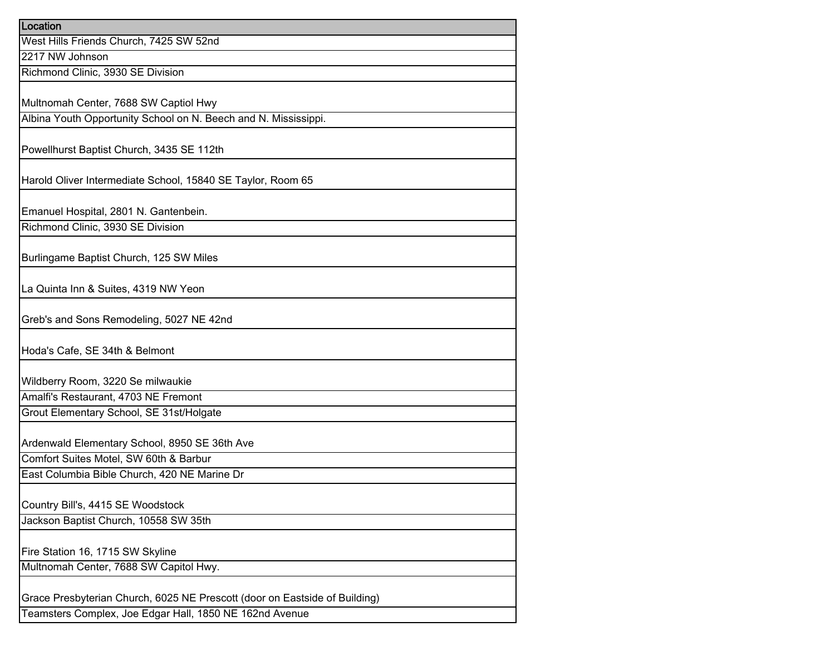| Location                                                                   |
|----------------------------------------------------------------------------|
| West Hills Friends Church, 7425 SW 52nd                                    |
| 2217 NW Johnson                                                            |
| Richmond Clinic, 3930 SE Division                                          |
|                                                                            |
| Multnomah Center, 7688 SW Captiol Hwy                                      |
| Albina Youth Opportunity School on N. Beech and N. Mississippi.            |
|                                                                            |
| Powellhurst Baptist Church, 3435 SE 112th                                  |
| Harold Oliver Intermediate School, 15840 SE Taylor, Room 65                |
|                                                                            |
| Emanuel Hospital, 2801 N. Gantenbein.                                      |
| Richmond Clinic, 3930 SE Division                                          |
|                                                                            |
| Burlingame Baptist Church, 125 SW Miles                                    |
|                                                                            |
| La Quinta Inn & Suites, 4319 NW Yeon                                       |
| Greb's and Sons Remodeling, 5027 NE 42nd                                   |
|                                                                            |
| Hoda's Cafe, SE 34th & Belmont                                             |
| Wildberry Room, 3220 Se milwaukie                                          |
| Amalfi's Restaurant, 4703 NE Fremont                                       |
| Grout Elementary School, SE 31st/Holgate                                   |
|                                                                            |
| Ardenwald Elementary School, 8950 SE 36th Ave                              |
| Comfort Suites Motel, SW 60th & Barbur                                     |
| East Columbia Bible Church, 420 NE Marine Dr                               |
|                                                                            |
| Country Bill's, 4415 SE Woodstock                                          |
| Jackson Baptist Church, 10558 SW 35th                                      |
| Fire Station 16, 1715 SW Skyline                                           |
| Multnomah Center, 7688 SW Capitol Hwy.                                     |
|                                                                            |
| Grace Presbyterian Church, 6025 NE Prescott (door on Eastside of Building) |
| Teamsters Complex, Joe Edgar Hall, 1850 NE 162nd Avenue                    |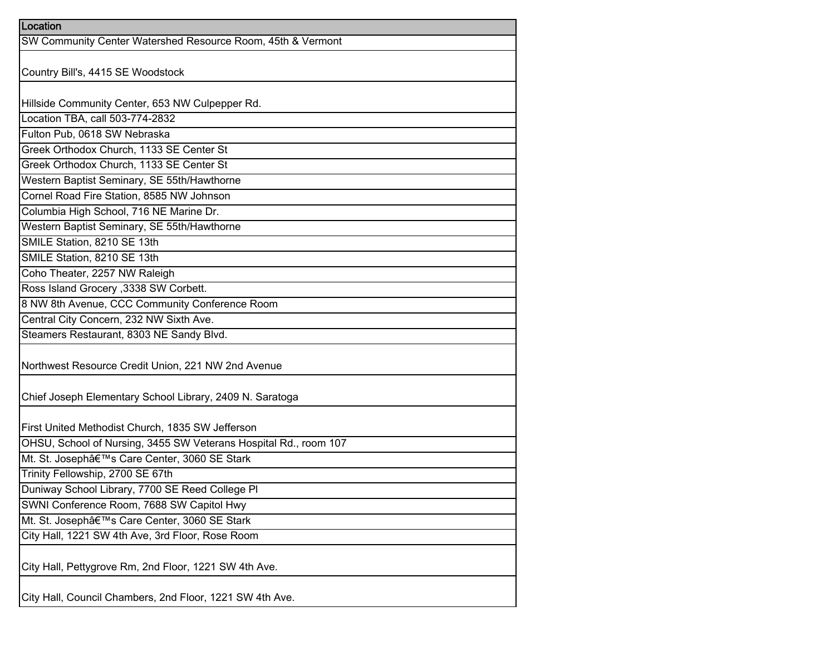| Location                                                         |
|------------------------------------------------------------------|
| SW Community Center Watershed Resource Room, 45th & Vermont      |
|                                                                  |
| Country Bill's, 4415 SE Woodstock                                |
|                                                                  |
| Hillside Community Center, 653 NW Culpepper Rd.                  |
| Location TBA, call 503-774-2832                                  |
| Fulton Pub, 0618 SW Nebraska                                     |
| Greek Orthodox Church, 1133 SE Center St                         |
| Greek Orthodox Church, 1133 SE Center St                         |
| Western Baptist Seminary, SE 55th/Hawthorne                      |
| Cornel Road Fire Station, 8585 NW Johnson                        |
| Columbia High School, 716 NE Marine Dr.                          |
| Western Baptist Seminary, SE 55th/Hawthorne                      |
| SMILE Station, 8210 SE 13th                                      |
| SMILE Station, 8210 SE 13th                                      |
| Coho Theater, 2257 NW Raleigh                                    |
| Ross Island Grocery , 3338 SW Corbett.                           |
| 8 NW 8th Avenue, CCC Community Conference Room                   |
| Central City Concern, 232 NW Sixth Ave.                          |
| Steamers Restaurant, 8303 NE Sandy Blvd.                         |
|                                                                  |
| Northwest Resource Credit Union, 221 NW 2nd Avenue               |
|                                                                  |
| Chief Joseph Elementary School Library, 2409 N. Saratoga         |
|                                                                  |
| First United Methodist Church, 1835 SW Jefferson                 |
| OHSU, School of Nursing, 3455 SW Veterans Hospital Rd., room 107 |
| Mt. St. Joseph's Care Center, 3060 SE Stark                      |
| Trinity Fellowship, 2700 SE 67th                                 |
| Duniway School Library, 7700 SE Reed College PI                  |
| SWNI Conference Room, 7688 SW Capitol Hwy                        |
| Mt. St. Joseph's Care Center, 3060 SE Stark                      |
| City Hall, 1221 SW 4th Ave, 3rd Floor, Rose Room                 |
|                                                                  |
| City Hall, Pettygrove Rm, 2nd Floor, 1221 SW 4th Ave.            |
|                                                                  |
| City Hall, Council Chambers, 2nd Floor, 1221 SW 4th Ave.         |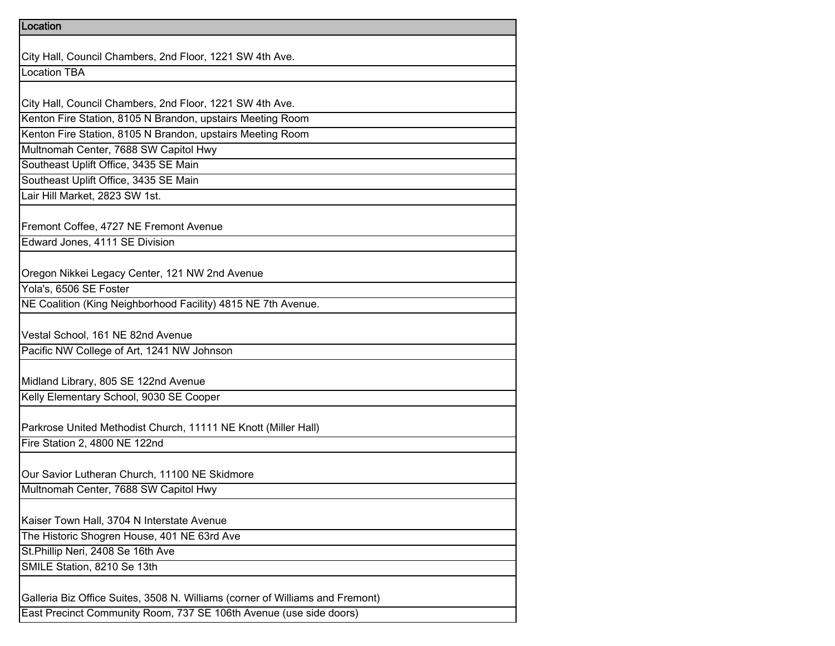| City Hall, Council Chambers, 2nd Floor, 1221 SW 4th Ave.                      |
|-------------------------------------------------------------------------------|
| <b>Location TBA</b>                                                           |
|                                                                               |
| City Hall, Council Chambers, 2nd Floor, 1221 SW 4th Ave.                      |
| Kenton Fire Station, 8105 N Brandon, upstairs Meeting Room                    |
| Kenton Fire Station, 8105 N Brandon, upstairs Meeting Room                    |
| Multnomah Center, 7688 SW Capitol Hwy                                         |
| Southeast Uplift Office, 3435 SE Main                                         |
| Southeast Uplift Office, 3435 SE Main                                         |
| Lair Hill Market, 2823 SW 1st.                                                |
|                                                                               |
| Fremont Coffee, 4727 NE Fremont Avenue                                        |
| Edward Jones, 4111 SE Division                                                |
|                                                                               |
| Oregon Nikkei Legacy Center, 121 NW 2nd Avenue                                |
| Yola's, 6506 SE Foster                                                        |
| NE Coalition (King Neighborhood Facility) 4815 NE 7th Avenue.                 |
|                                                                               |
| Vestal School, 161 NE 82nd Avenue                                             |
| Pacific NW College of Art, 1241 NW Johnson                                    |
| Midland Library, 805 SE 122nd Avenue                                          |
| Kelly Elementary School, 9030 SE Cooper                                       |
|                                                                               |
| Parkrose United Methodist Church, 11111 NE Knott (Miller Hall)                |
| Fire Station 2, 4800 NE 122nd                                                 |
|                                                                               |
| Our Savior Lutheran Church, 11100 NE Skidmore                                 |
| Multnomah Center, 7688 SW Capitol Hwy                                         |
|                                                                               |
| Kaiser Town Hall, 3704 N Interstate Avenue                                    |
| The Historic Shogren House, 401 NE 63rd Ave                                   |
| St.Phillip Neri, 2408 Se 16th Ave                                             |
| SMILE Station, 8210 Se 13th                                                   |
|                                                                               |
| Galleria Biz Office Suites, 3508 N. Williams (corner of Williams and Fremont) |
| East Precinct Community Room, 737 SE 106th Avenue (use side doors)            |